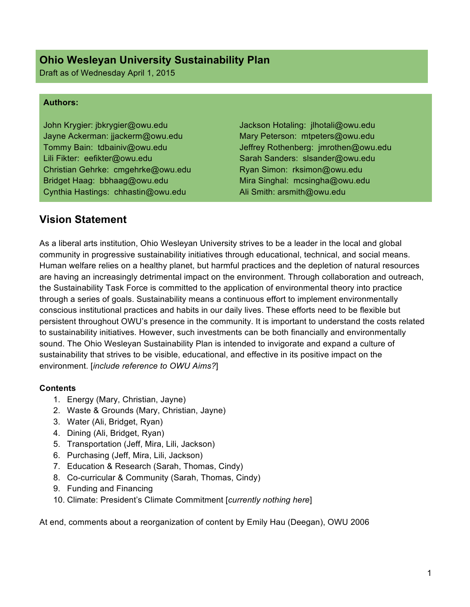## **Ohio Wesleyan University Sustainability Plan**

Draft as of Wednesday April 1, 2015

#### **Authors:**

John Krygier: jbkrygier@owu.edu Jayne Ackerman: jjackerm@owu.edu Tommy Bain: tdbainiv@owu.edu Lili Fikter: eefikter@owu.edu Christian Gehrke: cmgehrke@owu.edu Bridget Haag: bbhaag@owu.edu Cynthia Hastings: chhastin@owu.edu

Jackson Hotaling: jlhotali@owu.edu Mary Peterson: mtpeters@owu.edu Jeffrey Rothenberg: jmrothen@owu.edu Sarah Sanders: slsander@owu.edu Ryan Simon: rksimon@owu.edu Mira Singhal: mcsingha@owu.edu Ali Smith: arsmith@owu.edu

## **Vision Statement**

As a liberal arts institution, Ohio Wesleyan University strives to be a leader in the local and global community in progressive sustainability initiatives through educational, technical, and social means. Human welfare relies on a healthy planet, but harmful practices and the depletion of natural resources are having an increasingly detrimental impact on the environment. Through collaboration and outreach, the Sustainability Task Force is committed to the application of environmental theory into practice through a series of goals. Sustainability means a continuous effort to implement environmentally conscious institutional practices and habits in our daily lives. These efforts need to be flexible but persistent throughout OWU's presence in the community. It is important to understand the costs related to sustainability initiatives. However, such investments can be both financially and environmentally sound. The Ohio Wesleyan Sustainability Plan is intended to invigorate and expand a culture of sustainability that strives to be visible, educational, and effective in its positive impact on the environment. [*include reference to OWU Aims?*]

#### **Contents**

- 1. Energy (Mary, Christian, Jayne)
- 2. Waste & Grounds (Mary, Christian, Jayne)
- 3. Water (Ali, Bridget, Ryan)
- 4. Dining (Ali, Bridget, Ryan)
- 5. Transportation (Jeff, Mira, Lili, Jackson)
- 6. Purchasing (Jeff, Mira, Lili, Jackson)
- 7. Education & Research (Sarah, Thomas, Cindy)
- 8. Co-curricular & Community (Sarah, Thomas, Cindy)
- 9. Funding and Financing
- 10. Climate: President's Climate Commitment [*currently nothing here*]

At end, comments about a reorganization of content by Emily Hau (Deegan), OWU 2006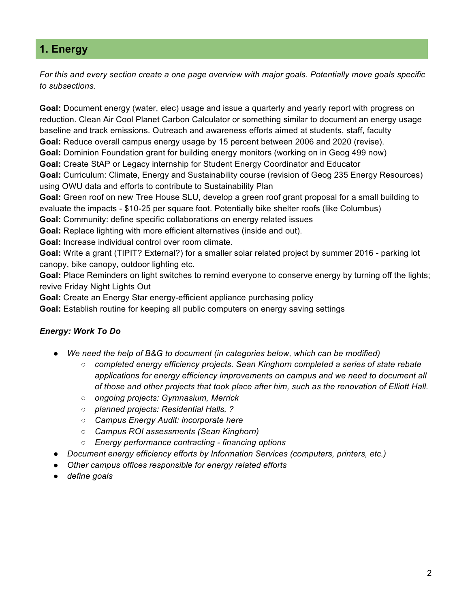## **1. Energy**

*For this and every section create a one page overview with major goals. Potentially move goals specific to subsections.*

**Goal:** Document energy (water, elec) usage and issue a quarterly and yearly report with progress on reduction. Clean Air Cool Planet Carbon Calculator or something similar to document an energy usage baseline and track emissions. Outreach and awareness efforts aimed at students, staff, faculty **Goal:** Reduce overall campus energy usage by 15 percent between 2006 and 2020 (revise).

**Goal:** Dominion Foundation grant for building energy monitors (working on in Geog 499 now)

**Goal:** Create StAP or Legacy internship for Student Energy Coordinator and Educator

**Goal:** Curriculum: Climate, Energy and Sustainability course (revision of Geog 235 Energy Resources) using OWU data and efforts to contribute to Sustainability Plan

**Goal:** Green roof on new Tree House SLU, develop a green roof grant proposal for a small building to evaluate the impacts - \$10-25 per square foot. Potentially bike shelter roofs (like Columbus)

**Goal:** Community: define specific collaborations on energy related issues

**Goal:** Replace lighting with more efficient alternatives (inside and out).

**Goal:** Increase individual control over room climate.

**Goal:** Write a grant (TIPIT? External?) for a smaller solar related project by summer 2016 - parking lot canopy, bike canopy, outdoor lighting etc.

**Goal:** Place Reminders on light switches to remind everyone to conserve energy by turning off the lights; revive Friday Night Lights Out

**Goal:** Create an Energy Star energy-efficient appliance purchasing policy

**Goal:** Establish routine for keeping all public computers on energy saving settings

## *Energy: Work To Do*

- We need the help of B&G to document (in categories below, which can be modified)
	- *completed energy efficiency projects. Sean Kinghorn completed a series of state rebate applications for energy efficiency improvements on campus and we need to document all of those and other projects that took place after him, such as the renovation of Elliott Hall.*
	- *ongoing projects: Gymnasium, Merrick*
	- *planned projects: Residential Halls, ?*
	- *Campus Energy Audit: incorporate here*
	- *Campus ROI assessments (Sean Kinghorn)*
	- *Energy performance contracting - financing options*
	- *Document energy efficiency efforts by Information Services (computers, printers, etc.)*
- *Other campus offices responsible for energy related efforts*
- *define goals*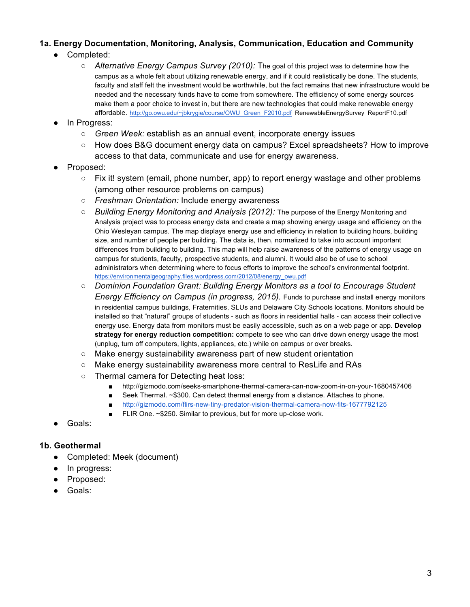## **1a. Energy Documentation, Monitoring, Analysis, Communication, Education and Community**

- Completed:
	- *Alternative Energy Campus Survey (2010):* The goal of this project was to determine how the campus as a whole felt about utilizing renewable energy, and if it could realistically be done. The students, faculty and staff felt the investment would be worthwhile, but the fact remains that new infrastructure would be needed and the necessary funds have to come from somewhere. The efficiency of some energy sources make them a poor choice to invest in, but there are new technologies that could make renewable energy affordable. http://go.owu.edu/~jbkrygie/course/OWU\_Green\_F2010.pdf RenewableEnergySurvey\_ReportF10.pdf
- In Progress:
	- *Green Week:* establish as an annual event, incorporate energy issues
	- How does B&G document energy data on campus? Excel spreadsheets? How to improve access to that data, communicate and use for energy awareness.
- Proposed:
	- $\circ$  Fix it! system (email, phone number, app) to report energy wastage and other problems (among other resource problems on campus)
	- *Freshman Orientation:* Include energy awareness
	- *Building Energy Monitoring and Analysis (2012):* The purpose of the Energy Monitoring and Analysis project was to process energy data and create a map showing energy usage and efficiency on the Ohio Wesleyan campus. The map displays energy use and efficiency in relation to building hours, building size, and number of people per building. The data is, then, normalized to take into account important differences from building to building. This map will help raise awareness of the patterns of energy usage on campus for students, faculty, prospective students, and alumni. It would also be of use to school administrators when determining where to focus efforts to improve the school's environmental footprint. https://environmentalgeography.files.wordpress.com/2012/08/energy\_owu.pdf
	- *Dominion Foundation Grant: Building Energy Monitors as a tool to Encourage Student Energy Efficiency on Campus (in progress, 2015).* Funds to purchase and install energy monitors in residential campus buildings, Fraternities, SLUs and Delaware City Schools locations. Monitors should be installed so that "natural" groups of students - such as floors in residential halls - can access their collective energy use. Energy data from monitors must be easily accessible, such as on a web page or app. **Develop strategy for energy reduction competition:** compete to see who can drive down energy usage the most (unplug, turn off computers, lights, appliances, etc.) while on campus or over breaks.
	- $\circ$  Make energy sustainability awareness part of new student orientation
	- Make energy sustainability awareness more central to ResLife and RAs
	- Thermal camera for Detecting heat loss:
		- http://gizmodo.com/seeks-smartphone-thermal-camera-can-now-zoom-in-on-your-1680457406
		- Seek Thermal. ~\$300. Can detect thermal energy from a distance. Attaches to phone.
		- http://gizmodo.com/flirs-new-tiny-predator-vision-thermal-camera-now-fits-1677792125
		- FLIR One. ~\$250. Similar to previous, but for more up-close work.
- Goals:

#### **1b. Geothermal**

- Completed: Meek (document)
- In progress:
- Proposed:
- Goals: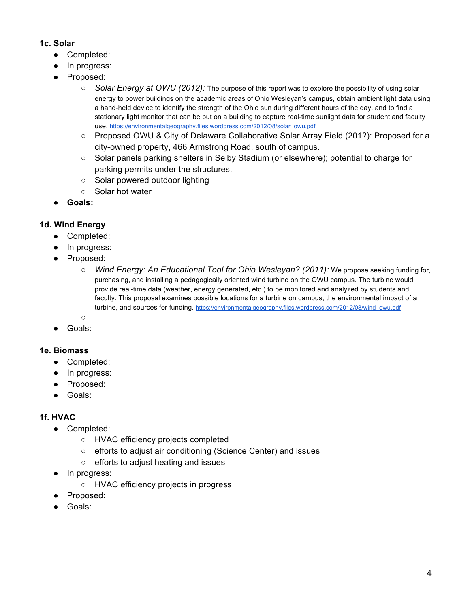#### **1c. Solar**

- Completed:
- In progress:
- Proposed:
	- *Solar Energy at OWU (2012):* The purpose of this report was to explore the possibility of using solar energy to power buildings on the academic areas of Ohio Wesleyan's campus, obtain ambient light data using a hand-held device to identify the strength of the Ohio sun during different hours of the day, and to find a stationary light monitor that can be put on a building to capture real-time sunlight data for student and faculty use. https://environmentalgeography.files.wordpress.com/2012/08/solar\_owu.pdf
	- Proposed OWU & City of Delaware Collaborative Solar Array Field (201?): Proposed for a city-owned property, 466 Armstrong Road, south of campus.
	- Solar panels parking shelters in Selby Stadium (or elsewhere); potential to charge for parking permits under the structures.
	- Solar powered outdoor lighting
	- Solar hot water
- **Goals:**

## **1d. Wind Energy**

- Completed:
- In progress:
- Proposed:
	- *Wind Energy: An Educational Tool for Ohio Wesleyan? (2011):* We propose seeking funding for, purchasing, and installing a pedagogically oriented wind turbine on the OWU campus. The turbine would provide real-time data (weather, energy generated, etc.) to be monitored and analyzed by students and faculty. This proposal examines possible locations for a turbine on campus, the environmental impact of a turbine, and sources for funding. https://environmentalgeography.files.wordpress.com/2012/08/wind\_owu.pdf
	- $\circ$
- Goals:

## **1e. Biomass**

- Completed:
- In progress:
- Proposed:
- Goals:

## **1f. HVAC**

- Completed:
	- HVAC efficiency projects completed
	- efforts to adjust air conditioning (Science Center) and issues
	- efforts to adjust heating and issues
- In progress:
	- HVAC efficiency projects in progress
- Proposed:
- Goals: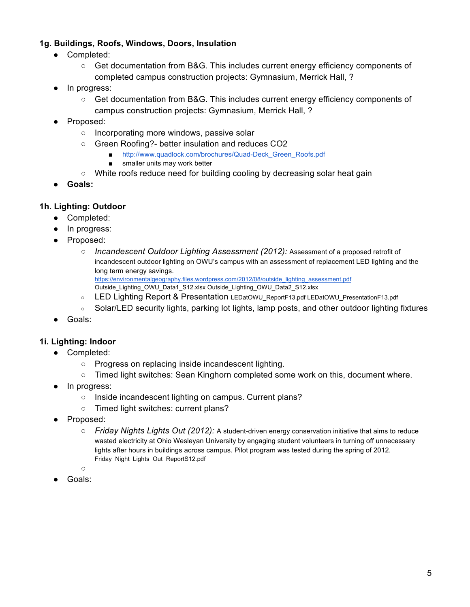#### **1g. Buildings, Roofs, Windows, Doors, Insulation**

- Completed:
	- Get documentation from B&G. This includes current energy efficiency components of completed campus construction projects: Gymnasium, Merrick Hall, ?
- In progress:
	- Get documentation from B&G. This includes current energy efficiency components of campus construction projects: Gymnasium, Merrick Hall, ?
- Proposed:
	- Incorporating more windows, passive solar
	- Green Roofing?- better insulation and reduces CO2
		- http://www.quadlock.com/brochures/Quad-Deck\_Green\_Roofs.pdf
		- smaller units may work better
	- White roofs reduce need for building cooling by decreasing solar heat gain
- **Goals:**

#### **1h. Lighting: Outdoor**

- Completed:
- In progress:
- Proposed:
	- *Incandescent Outdoor Lighting Assessment (2012):* Assessment of a proposed retrofit of incandescent outdoor lighting on OWU's campus with an assessment of replacement LED lighting and the long term energy savings. https://environmentalgeography.files.wordpress.com/2012/08/outside\_lighting\_assessment.pdf

Outside\_Lighting\_OWU\_Data1\_S12.xlsx Outside\_Lighting\_OWU\_Data2\_S12.xlsx

- LED Lighting Report & Presentation LEDatOWU\_ReportF13.pdf LEDatOWU\_PresentationF13.pdf
- Solar/LED security lights, parking lot lights, lamp posts, and other outdoor lighting fixtures
- Goals:

#### **1i. Lighting: Indoor**

- Completed:
	- Progress on replacing inside incandescent lighting.
	- Timed light switches: Sean Kinghorn completed some work on this, document where.
- In progress:
	- Inside incandescent lighting on campus. Current plans?
	- Timed light switches: current plans?
- Proposed:
	- *Friday Nights Lights Out (2012):* A student-driven energy conservation initiative that aims to reduce wasted electricity at Ohio Wesleyan University by engaging student volunteers in turning off unnecessary lights after hours in buildings across campus. Pilot program was tested during the spring of 2012. Friday\_Night\_Lights\_Out\_ReportS12.pdf
	- ○
- Goals: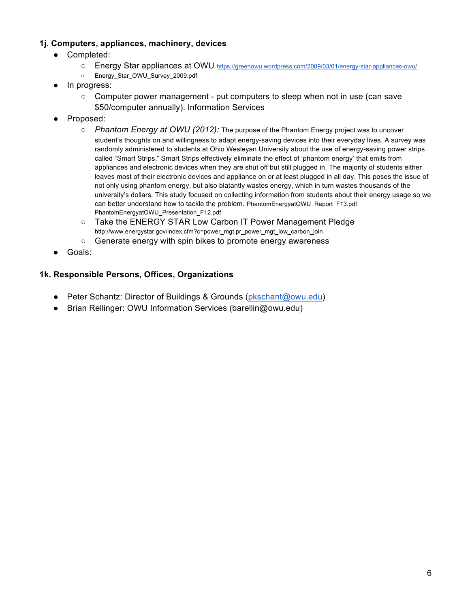#### **1j. Computers, appliances, machinery, devices**

- Completed:
	- Energy Star appliances at OWU https://greenowu.wordpress.com/2009/03/01/energy-star-appliances-owu/
	- Energy\_Star\_OWU\_Survey\_2009.pdf
- In progress:
	- Computer power management put computers to sleep when not in use (can save \$50/computer annually). Information Services
- Proposed:
	- *Phantom Energy at OWU (2012):* The purpose of the Phantom Energy project was to uncover student's thoughts on and willingness to adapt energy-saving devices into their everyday lives. A survey was randomly administered to students at Ohio Wesleyan University about the use of energy-saving power strips called "Smart Strips." Smart Strips effectively eliminate the effect of 'phantom energy' that emits from appliances and electronic devices when they are shut off but still plugged in. The majority of students either leaves most of their electronic devices and appliance on or at least plugged in all day. This poses the issue of not only using phantom energy, but also blatantly wastes energy, which in turn wastes thousands of the university's dollars. This study focused on collecting information from students about their energy usage so we can better understand how to tackle the problem. PhantomEnergyatOWU\_Report\_F13.pdf PhantomEnergyatOWU\_Presentation\_F12.pdf
	- Take the ENERGY STAR Low Carbon IT Power Management Pledge http://www.energystar.gov/index.cfm?c=power\_mgt.pr\_power\_mgt\_low\_carbon\_join
	- Generate energy with spin bikes to promote energy awareness
- Goals:

#### **1k. Responsible Persons, Offices, Organizations**

- Peter Schantz: Director of Buildings & Grounds (pkschant@owu.edu)
- Brian Rellinger: OWU Information Services (barellin@owu.edu)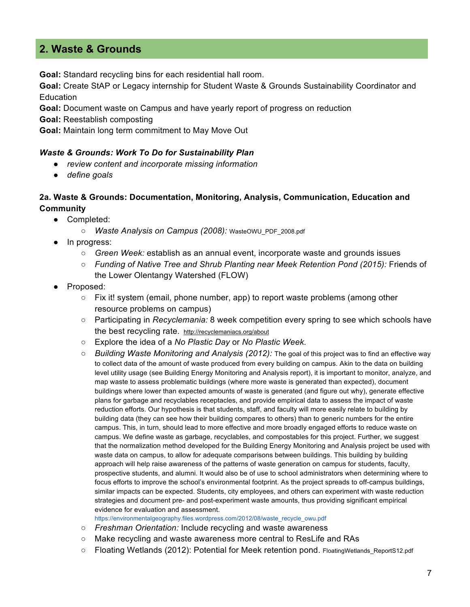## **2. Waste & Grounds**

**Goal:** Standard recycling bins for each residential hall room.

**Goal:** Create StAP or Legacy internship for Student Waste & Grounds Sustainability Coordinator and **Education** 

**Goal:** Document waste on Campus and have yearly report of progress on reduction

**Goal:** Reestablish composting

**Goal:** Maintain long term commitment to May Move Out

#### *Waste & Grounds: Work To Do for Sustainability Plan*

- *review content and incorporate missing information*
- *define goals*

#### **2a. Waste & Grounds: Documentation, Monitoring, Analysis, Communication, Education and Community**

- Completed:
	- *Waste Analysis on Campus (2008):* WasteOWU\_PDF\_2008.pdf
- In progress:
	- *Green Week:* establish as an annual event, incorporate waste and grounds issues
	- *Funding of Native Tree and Shrub Planting near Meek Retention Pond (2015):* Friends of the Lower Olentangy Watershed (FLOW)
- Proposed:
	- $\circ$  Fix it! system (email, phone number, app) to report waste problems (among other resource problems on campus)
	- Participating in *Recyclemania:* 8 week competition every spring to see which schools have the best recycling rate. http://recyclemaniacs.org/about
	- Explore the idea of a *No Plastic Day* or *No Plastic Week.*
	- *Building Waste Monitoring and Analysis (2012):* The goal of this project was to find an effective way to collect data of the amount of waste produced from every building on campus. Akin to the data on building level utility usage (see Building Energy Monitoring and Analysis report), it is important to monitor, analyze, and map waste to assess problematic buildings (where more waste is generated than expected), document buildings where lower than expected amounts of waste is generated (and figure out why), generate effective plans for garbage and recyclables receptacles, and provide empirical data to assess the impact of waste reduction efforts. Our hypothesis is that students, staff, and faculty will more easily relate to building by building data (they can see how their building compares to others) than to generic numbers for the entire campus. This, in turn, should lead to more effective and more broadly engaged efforts to reduce waste on campus. We define waste as garbage, recyclables, and compostables for this project. Further, we suggest that the normalization method developed for the Building Energy Monitoring and Analysis project be used with waste data on campus, to allow for adequate comparisons between buildings. This building by building approach will help raise awareness of the patterns of waste generation on campus for students, faculty, prospective students, and alumni. It would also be of use to school administrators when determining where to focus efforts to improve the school's environmental footprint. As the project spreads to off-campus buildings, similar impacts can be expected. Students, city employees, and others can experiment with waste reduction strategies and document pre- and post-experiment waste amounts, thus providing significant empirical evidence for evaluation and assessment.
	- https://environmentalgeography.files.wordpress.com/2012/08/waste\_recycle\_owu.pdf
	- *Freshman Orientation:* Include recycling and waste awareness
	- Make recycling and waste awareness more central to ResLife and RAs
	- Floating Wetlands (2012): Potential for Meek retention pond. FloatingWetlands ReportS12.pdf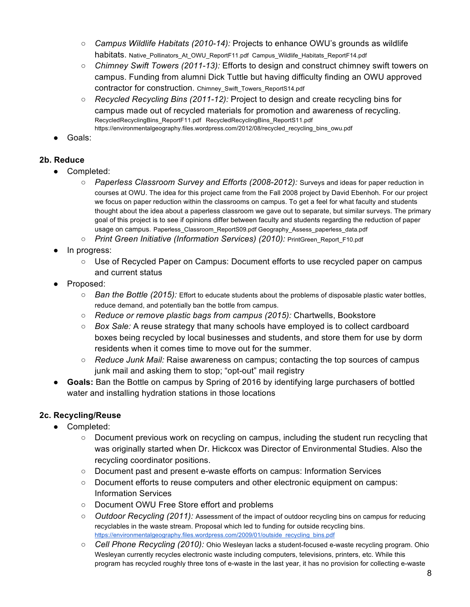- *Campus Wildlife Habitats (2010-14):* Projects to enhance OWU's grounds as wildlife habitats. Native\_Pollinators\_At\_OWU\_ReportF11.pdf Campus\_Wildlife\_Habitats\_ReportF14.pdf
- *Chimney Swift Towers (2011-13):* Efforts to design and construct chimney swift towers on campus. Funding from alumni Dick Tuttle but having difficulty finding an OWU approved contractor for construction. Chimney\_Swift\_Towers\_ReportS14.pdf
- *Recycled Recycling Bins (2011-12):* Project to design and create recycling bins for campus made out of recycled materials for promotion and awareness of recycling. RecycledRecyclingBins\_ReportF11.pdf RecycledRecyclingBins\_ReportS11.pdf https://environmentalgeography.files.wordpress.com/2012/08/recycled\_recycling\_bins\_owu.pdf
- Goals:

## **2b. Reduce**

- Completed:
	- *Paperless Classroom Survey and Efforts (2008-2012):* Surveys and ideas for paper reduction in courses at OWU. The idea for this project came from the Fall 2008 project by David Ebenhoh. For our project we focus on paper reduction within the classrooms on campus. To get a feel for what faculty and students thought about the idea about a paperless classroom we gave out to separate, but similar surveys. The primary goal of this project is to see if opinions differ between faculty and students regarding the reduction of paper usage on campus. Paperless\_Classroom\_ReportS09.pdf Geography\_Assess\_paperless\_data.pdf
	- *Print Green Initiative (Information Services) (2010):* PrintGreen Report F10.pdf
- In progress:
	- Use of Recycled Paper on Campus: Document efforts to use recycled paper on campus and current status
- Proposed:
	- *Ban the Bottle (2015):* Effort to educate students about the problems of disposable plastic water bottles, reduce demand, and potentially ban the bottle from campus.
	- *Reduce or remove plastic bags from campus (2015):* Chartwells, Bookstore
	- *Box Sale:* A reuse strategy that many schools have employed is to collect cardboard boxes being recycled by local businesses and students, and store them for use by dorm residents when it comes time to move out for the summer.
	- *Reduce Junk Mail:* Raise awareness on campus; contacting the top sources of campus junk mail and asking them to stop; "opt-out" mail registry
- **Goals:** Ban the Bottle on campus by Spring of 2016 by identifying large purchasers of bottled water and installing hydration stations in those locations

## **2c. Recycling/Reuse**

- Completed:
	- Document previous work on recycling on campus, including the student run recycling that was originally started when Dr. Hickcox was Director of Environmental Studies. Also the recycling coordinator positions.
	- Document past and present e-waste efforts on campus: Information Services
	- Document efforts to reuse computers and other electronic equipment on campus: Information Services
	- Document OWU Free Store effort and problems
	- *Outdoor Recycling (2011):* Assessment of the impact of outdoor recycling bins on campus for reducing recyclables in the waste stream. Proposal which led to funding for outside recycling bins. https://environmentalgeography.files.wordpress.com/2009/01/outside\_recycling\_bins.pdf
	- *Cell Phone Recycling (2010):* Ohio Wesleyan lacks a student-focused e-waste recycling program. Ohio Wesleyan currently recycles electronic waste including computers, televisions, printers, etc. While this program has recycled roughly three tons of e-waste in the last year, it has no provision for collecting e-waste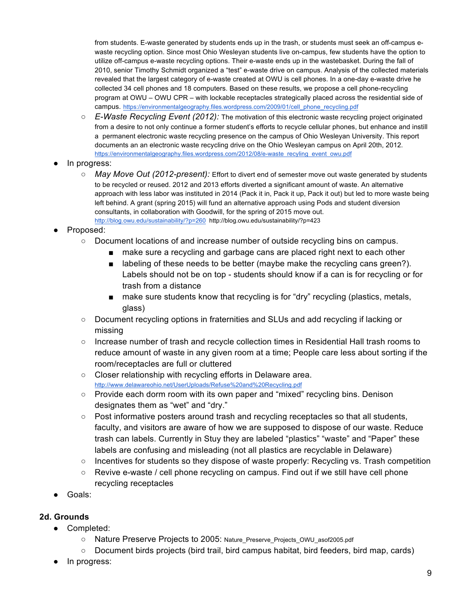from students. E-waste generated by students ends up in the trash, or students must seek an off-campus ewaste recycling option. Since most Ohio Wesleyan students live on-campus, few students have the option to utilize off-campus e-waste recycling options. Their e-waste ends up in the wastebasket. During the fall of 2010, senior Timothy Schmidt organized a "test" e-waste drive on campus. Analysis of the collected materials revealed that the largest category of e-waste created at OWU is cell phones. In a one-day e-waste drive he collected 34 cell phones and 18 computers. Based on these results, we propose a cell phone-recycling program at OWU – OWU CPR – with lockable receptacles strategically placed across the residential side of campus. https://environmentalgeography.files.wordpress.com/2009/01/cell\_phone\_recycling.pdf

- *E-Waste Recycling Event (2012):* The motivation of this electronic waste recycling project originated from a desire to not only continue a former student's efforts to recycle cellular phones, but enhance and instill a permanent electronic waste recycling presence on the campus of Ohio Wesleyan University. This report documents an an electronic waste recycling drive on the Ohio Wesleyan campus on April 20th, 2012. https://environmentalgeography.files.wordpress.com/2012/08/e-waste\_recyling\_event\_owu.pdf
- In progress:
	- *May Move Out (2012-present):* Effort to divert end of semester move out waste generated by students to be recycled or reused. 2012 and 2013 efforts diverted a significant amount of waste. An alternative approach with less labor was instituted in 2014 (Pack it in, Pack it up, Pack it out) but led to more waste being left behind. A grant (spring 2015) will fund an alternative approach using Pods and student diversion consultants, in collaboration with Goodwill, for the spring of 2015 move out. http://blog.owu.edu/sustainability/?p=260 http://blog.owu.edu/sustainability/?p=423
- Proposed:
	- Document locations of and increase number of outside recycling bins on campus.
		- make sure a recycling and garbage cans are placed right next to each other
		- labeling of these needs to be better (maybe make the recycling cans green?). Labels should not be on top - students should know if a can is for recycling or for trash from a distance
		- make sure students know that recycling is for "dry" recycling (plastics, metals, glass)
	- Document recycling options in fraternities and SLUs and add recycling if lacking or missing
	- Increase number of trash and recycle collection times in Residential Hall trash rooms to reduce amount of waste in any given room at a time; People care less about sorting if the room/receptacles are full or cluttered
	- Closer relationship with recycling efforts in Delaware area. http://www.delawareohio.net/UserUploads/Refuse%20and%20Recycling.pdf
	- Provide each dorm room with its own paper and "mixed" recycling bins. Denison designates them as "wet" and "dry."
	- Post informative posters around trash and recycling receptacles so that all students, faculty, and visitors are aware of how we are supposed to dispose of our waste. Reduce trash can labels. Currently in Stuy they are labeled "plastics" "waste" and "Paper" these labels are confusing and misleading (not all plastics are recyclable in Delaware)
	- Incentives for students so they dispose of waste properly: Recycling vs. Trash competition
	- Revive e-waste / cell phone recycling on campus. Find out if we still have cell phone recycling receptacles
- Goals:

## **2d. Grounds**

- Completed:
	- Nature Preserve Projects to 2005: Nature\_Preserve\_Projects\_OWU\_asof2005.pdf
	- Document birds projects (bird trail, bird campus habitat, bird feeders, bird map, cards)
- In progress: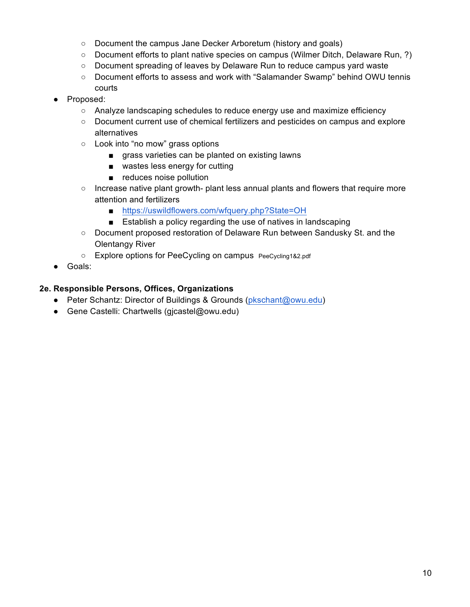- Document the campus Jane Decker Arboretum (history and goals)
- Document efforts to plant native species on campus (Wilmer Ditch, Delaware Run, ?)
- Document spreading of leaves by Delaware Run to reduce campus yard waste
- Document efforts to assess and work with "Salamander Swamp" behind OWU tennis courts
- Proposed:
	- Analyze landscaping schedules to reduce energy use and maximize efficiency
	- Document current use of chemical fertilizers and pesticides on campus and explore alternatives
	- Look into "no mow" grass options
		- grass varieties can be planted on existing lawns
		- wastes less energy for cutting
		- reduces noise pollution
	- Increase native plant growth- plant less annual plants and flowers that require more attention and fertilizers
		- https://uswildflowers.com/wfquery.php?State=OH
		- Establish a policy regarding the use of natives in landscaping
	- Document proposed restoration of Delaware Run between Sandusky St. and the Olentangy River
	- Explore options for PeeCycling on campus PeeCycling1&2.pdf
- Goals:

#### **2e. Responsible Persons, Offices, Organizations**

- Peter Schantz: Director of Buildings & Grounds (pkschant@owu.edu)
- Gene Castelli: Chartwells (gjcastel@owu.edu)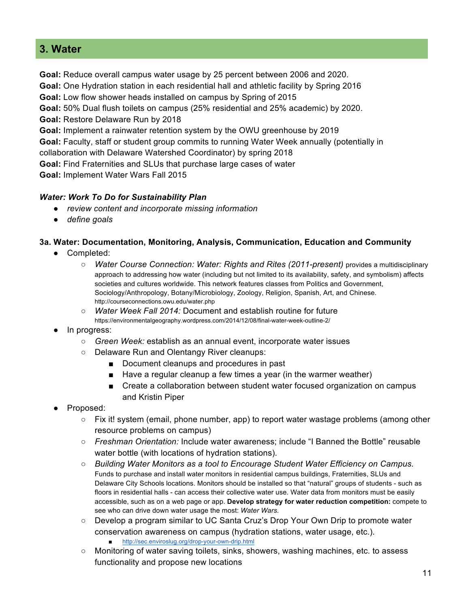## **3. Water**

**Goal:** Reduce overall campus water usage by 25 percent between 2006 and 2020.

**Goal:** One Hydration station in each residential hall and athletic facility by Spring 2016

**Goal:** Low flow shower heads installed on campus by Spring of 2015

**Goal:** 50% Dual flush toilets on campus (25% residential and 25% academic) by 2020.

**Goal:** Restore Delaware Run by 2018

**Goal:** Implement a rainwater retention system by the OWU greenhouse by 2019

**Goal:** Faculty, staff or student group commits to running Water Week annually (potentially in

collaboration with Delaware Watershed Coordinator) by spring 2018

**Goal:** Find Fraternities and SLUs that purchase large cases of water

**Goal:** Implement Water Wars Fall 2015

#### *Water: Work To Do for Sustainability Plan*

- *review content and incorporate missing information*
- *define goals*

#### **3a. Water: Documentation, Monitoring, Analysis, Communication, Education and Community**

- Completed:
	- *Water Course Connection: Water: Rights and Rites (2011-present)* provides a multidisciplinary approach to addressing how water (including but not limited to its availability, safety, and symbolism) affects societies and cultures worldwide. This network features classes from Politics and Government, Sociology/Anthropology, Botany/Microbiology, Zoology, Religion, Spanish, Art, and Chinese. http://courseconnections.owu.edu/water.php
	- *Water Week Fall 2014:* Document and establish routine for future https://environmentalgeography.wordpress.com/2014/12/08/final-water-week-outline-2/
- In progress:
	- *Green Week:* establish as an annual event, incorporate water issues
	- Delaware Run and Olentangy River cleanups:
		- Document cleanups and procedures in past
		- Have a regular cleanup a few times a year (in the warmer weather)
		- Create a collaboration between student water focused organization on campus and Kristin Piper
- Proposed:
	- Fix it! system (email, phone number, app) to report water wastage problems (among other resource problems on campus)
	- *Freshman Orientation:* Include water awareness; include "I Banned the Bottle" reusable water bottle (with locations of hydration stations).
	- *Building Water Monitors as a tool to Encourage Student Water Efficiency on Campus.* Funds to purchase and install water monitors in residential campus buildings, Fraternities, SLUs and Delaware City Schools locations. Monitors should be installed so that "natural" groups of students - such as floors in residential halls - can access their collective water use. Water data from monitors must be easily accessible, such as on a web page or app. **Develop strategy for water reduction competition:** compete to see who can drive down water usage the most: *Water Wars.*
	- Develop a program similar to UC Santa Cruz's Drop Your Own Drip to promote water conservation awareness on campus (hydration stations, water usage, etc.). http://sec.enviroslug.org/drop-your-own-drip.html
	- Monitoring of water saving toilets, sinks, showers, washing machines, etc. to assess functionality and propose new locations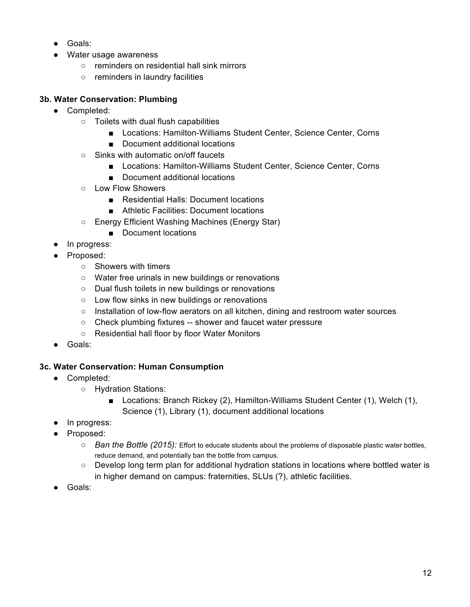- Goals:
- Water usage awareness
	- reminders on residential hall sink mirrors
	- reminders in laundry facilities

#### **3b. Water Conservation: Plumbing**

- Completed:
	- Toilets with dual flush capabilities
		- Locations: Hamilton-Williams Student Center, Science Center, Corns
		- Document additional locations
	- Sinks with automatic on/off faucets
		- Locations: Hamilton-Williams Student Center, Science Center, Corns
		- Document additional locations
	- Low Flow Showers
		- Residential Halls: Document locations
		- Athletic Facilities: Document locations
	- Energy Efficient Washing Machines (Energy Star)
		- Document locations
- In progress:
- Proposed:
	- Showers with timers
	- Water free urinals in new buildings or renovations
	- Dual flush toilets in new buildings or renovations
	- Low flow sinks in new buildings or renovations
	- Installation of low-flow aerators on all kitchen, dining and restroom water sources
	- Check plumbing fixtures -- shower and faucet water pressure
	- Residential hall floor by floor Water Monitors
- Goals:

## **3c. Water Conservation: Human Consumption**

- Completed:
	- Hydration Stations:
		- Locations: Branch Rickey (2), Hamilton-Williams Student Center (1), Welch (1), Science (1), Library (1), document additional locations
- In progress:
- Proposed:
	- *Ban the Bottle (2015):* Effort to educate students about the problems of disposable plastic water bottles, reduce demand, and potentially ban the bottle from campus.
	- $\circ$  Develop long term plan for additional hydration stations in locations where bottled water is in higher demand on campus: fraternities, SLUs (?), athletic facilities.
- Goals: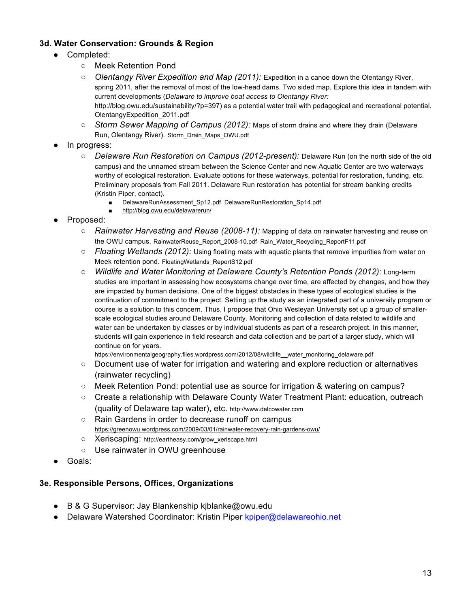#### **3d. Water Conservation: Grounds & Region**

- Completed:
	- Meek Retention Pond
	- *Olentangy River Expedition and Map (2011):* Expedition in a canoe down the Olentangy River, spring 2011, after the removal of most of the low-head dams. Two sided map. Explore this idea in tandem with current developments (*Delaware to improve boat access to Olentangy River:*  http://blog.owu.edu/sustainability/?p=397) as a potential water trail with pedagogical and recreational potential. OlentangyExpedition\_2011.pdf
	- *Storm Sewer Mapping of Campus (2012):* Maps of storm drains and where they drain (Delaware Run, Olentangy River). Storm\_Drain\_Maps\_OWU.pdf
- In progress:
	- *Delaware Run Restoration on Campus (2012-present):* Delaware Run (on the north side of the old campus) and the unnamed stream between the Science Center and new Aquatic Center are two waterways worthy of ecological restoration. Evaluate options for these waterways, potential for restoration, funding, etc. Preliminary proposals from Fall 2011. Delaware Run restoration has potential for stream banking credits (Kristin Piper, contact).
		- DelawareRunAssessment Sp12.pdf DelawareRunRestoration Sp14.pdf
		- http://blog.owu.edu/delawarerun/
- Proposed:
	- *Rainwater Harvesting and Reuse (2008-11):* Mapping of data on rainwater harvesting and reuse on the OWU campus. RainwaterReuse\_Report\_2008-10.pdf Rain\_Water\_Recycling\_ReportF11.pdf
	- *Floating Wetlands (2012):* Using floating mats with aquatic plants that remove impurities from water on Meek retention pond. FloatingWetlands\_ReportS12.pdf
	- *Wildlife and Water Monitoring at Delaware County's Retention Ponds (2012):* Long-term studies are important in assessing how ecosystems change over time, are affected by changes, and how they are impacted by human decisions. One of the biggest obstacles in these types of ecological studies is the continuation of commitment to the project. Setting up the study as an integrated part of a university program or course is a solution to this concern. Thus, I propose that Ohio Wesleyan University set up a group of smallerscale ecological studies around Delaware County. Monitoring and collection of data related to wildlife and water can be undertaken by classes or by individual students as part of a research project. In this manner, students will gain experience in field research and data collection and be part of a larger study, which will continue on for years.
		- https://environmentalgeography.files.wordpress.com/2012/08/wildlife\_water\_monitoring\_delaware.pdf
	- Document use of water for irrigation and watering and explore reduction or alternatives (rainwater recycling)
	- Meek Retention Pond: potential use as source for irrigation & watering on campus?
	- Create a relationship with Delaware County Water Treatment Plant: education, outreach (quality of Delaware tap water), etc. http://www.delcowater.com
	- Rain Gardens in order to decrease runoff on campus https://greenowu.wordpress.com/2009/03/01/rainwater-recovery-rain-gardens-owu/
	- Xeriscaping: http://eartheasy.com/grow\_xeriscape.html
	- Use rainwater in OWU greenhouse
- Goals:

#### **3e. Responsible Persons, Offices, Organizations**

- B & G Supervisor: Jay Blankenship kjblanke@owu.edu
- Delaware Watershed Coordinator: Kristin Piper kpiper@delawareohio.net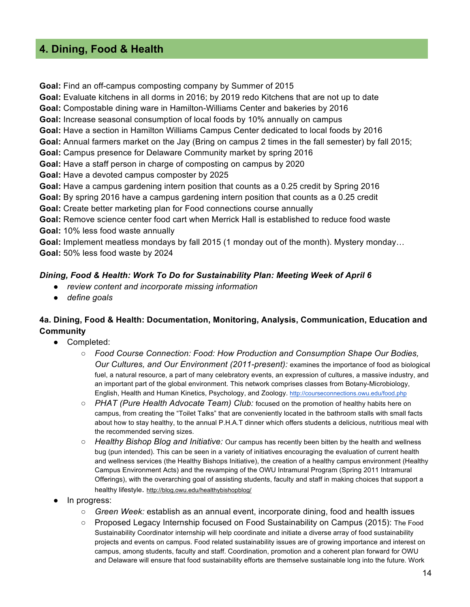## **4. Dining, Food & Health**

**Goal:** Find an off-campus composting company by Summer of 2015

**Goal:** Evaluate kitchens in all dorms in 2016; by 2019 redo Kitchens that are not up to date

**Goal:** Compostable dining ware in Hamilton-Williams Center and bakeries by 2016

**Goal:** Increase seasonal consumption of local foods by 10% annually on campus

**Goal:** Have a section in Hamilton Williams Campus Center dedicated to local foods by 2016

**Goal:** Annual farmers market on the Jay (Bring on campus 2 times in the fall semester) by fall 2015;

**Goal:** Campus presence for Delaware Community market by spring 2016

**Goal:** Have a staff person in charge of composting on campus by 2020

**Goal:** Have a devoted campus composter by 2025

**Goal:** Have a campus gardening intern position that counts as a 0.25 credit by Spring 2016

**Goal:** By spring 2016 have a campus gardening intern position that counts as a 0.25 credit

**Goal:** Create better marketing plan for Food connections course annually

**Goal:** Remove science center food cart when Merrick Hall is established to reduce food waste **Goal:** 10% less food waste annually

**Goal:** Implement meatless mondays by fall 2015 (1 monday out of the month). Mystery monday… **Goal:** 50% less food waste by 2024

#### *Dining, Food & Health: Work To Do for Sustainability Plan: Meeting Week of April 6*

- *review content and incorporate missing information*
- *define goals*

## **4a. Dining, Food & Health: Documentation, Monitoring, Analysis, Communication, Education and Community**

- Completed:
	- *Food Course Connection: Food: How Production and Consumption Shape Our Bodies, Our Cultures, and Our Environment (2011-present):* examines the importance of food as biological fuel, a natural resource, a part of many celebratory events, an expression of cultures, a massive industry, and an important part of the global environment. This network comprises classes from Botany-Microbiology, English, Health and Human Kinetics, Psychology, and Zoology. http://courseconnections.owu.edu/food.php
	- *PHAT (Pure Health Advocate Team) Club:* focused on the promotion of healthy habits here on campus, from creating the "Toilet Talks" that are conveniently located in the bathroom stalls with small facts about how to stay healthy, to the annual P.H.A.T dinner which offers students a delicious, nutritious meal with the recommended serving sizes.
	- *Healthy Bishop Blog and Initiative:* Our campus has recently been bitten by the health and wellness bug (pun intended). This can be seen in a variety of initiatives encouraging the evaluation of current health and wellness services (the Healthy Bishops Initiative), the creation of a healthy campus environment (Healthy Campus Environment Acts) and the revamping of the OWU Intramural Program (Spring 2011 Intramural Offerings), with the overarching goal of assisting students, faculty and staff in making choices that support a healthy lifestyle. http://blog.owu.edu/healthybishopblog/
- In progress:
	- *Green Week:* establish as an annual event, incorporate dining, food and health issues
	- Proposed Legacy Internship focused on Food Sustainability on Campus (2015): The Food Sustainability Coordinator internship will help coordinate and initiate a diverse array of food sustainability projects and events on campus. Food related sustainability issues are of growing importance and interest on campus, among students, faculty and staff. Coordination, promotion and a coherent plan forward for OWU and Delaware will ensure that food sustainability efforts are themselve sustainable long into the future. Work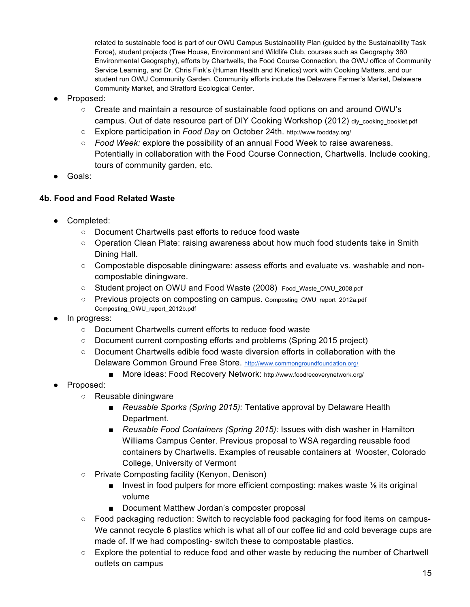related to sustainable food is part of our OWU Campus Sustainability Plan (guided by the Sustainability Task Force), student projects (Tree House, Environment and Wildlife Club, courses such as Geography 360 Environmental Geography), efforts by Chartwells, the Food Course Connection, the OWU office of Community Service Learning, and Dr. Chris Fink's (Human Health and Kinetics) work with Cooking Matters, and our student run OWU Community Garden. Community efforts include the Delaware Farmer's Market, Delaware Community Market, and Stratford Ecological Center.

- Proposed:
	- Create and maintain a resource of sustainable food options on and around OWU's campus. Out of date resource part of DIY Cooking Workshop (2012) div cooking booklet.pdf
	- Explore participation in *Food Day* on October 24th. http://www.foodday.org/
	- *Food Week:* explore the possibility of an annual Food Week to raise awareness. Potentially in collaboration with the Food Course Connection, Chartwells. Include cooking, tours of community garden, etc.
- Goals:

## **4b. Food and Food Related Waste**

- Completed:
	- Document Chartwells past efforts to reduce food waste
	- Operation Clean Plate: raising awareness about how much food students take in Smith Dining Hall.
	- Compostable disposable diningware: assess efforts and evaluate vs. washable and noncompostable diningware.
	- Student project on OWU and Food Waste (2008) Food Waste OWU 2008.pdf
	- Previous proiects on composting on campus. Composting\_OWU\_report\_2012a.pdf Composting\_OWU\_report\_2012b.pdf
- In progress:
	- Document Chartwells current efforts to reduce food waste
	- Document current composting efforts and problems (Spring 2015 project)
	- Document Chartwells edible food waste diversion efforts in collaboration with the Delaware Common Ground Free Store. http://www.commongroundfoundation.org/
		- More ideas: Food Recovery Network: http://www.foodrecoverynetwork.org/
- Proposed:
	- Reusable diningware
		- *Reusable Sporks (Spring 2015):* Tentative approval by Delaware Health Department.
		- *Reusable Food Containers (Spring 2015):* Issues with dish washer in Hamilton Williams Campus Center. Previous proposal to WSA regarding reusable food containers by Chartwells. Examples of reusable containers at Wooster, Colorado College, University of Vermont
	- Private Composting facility (Kenyon, Denison)
		- Invest in food pulpers for more efficient composting: makes waste 1/<sub>8</sub> its original volume
		- Document Matthew Jordan's composter proposal
	- Food packaging reduction: Switch to recyclable food packaging for food items on campus-We cannot recycle 6 plastics which is what all of our coffee lid and cold beverage cups are made of. If we had composting- switch these to compostable plastics.
	- Explore the potential to reduce food and other waste by reducing the number of Chartwell outlets on campus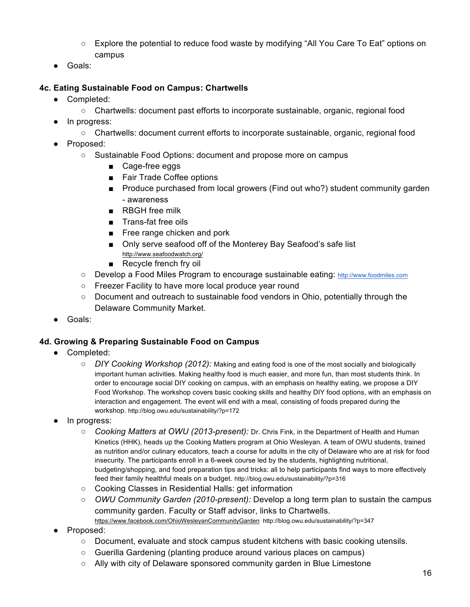- Explore the potential to reduce food waste by modifying "All You Care To Eat" options on campus
- Goals:

## **4c. Eating Sustainable Food on Campus: Chartwells**

- Completed:
	- Chartwells: document past efforts to incorporate sustainable, organic, regional food
- In progress:
	- Chartwells: document current efforts to incorporate sustainable, organic, regional food
- Proposed:
	- Sustainable Food Options: document and propose more on campus
		- Cage-free eggs
		- Fair Trade Coffee options
		- Produce purchased from local growers (Find out who?) student community garden - awareness
		- RBGH free milk
		- Trans-fat free oils
		- Free range chicken and pork
		- Only serve seafood off of the Monterey Bay Seafood's safe list http://www.seafoodwatch.org/
		- Recycle french fry oil
	- Develop a Food Miles Program to encourage sustainable eating: http://www.foodmiles.com
	- Freezer Facility to have more local produce year round
	- Document and outreach to sustainable food vendors in Ohio, potentially through the Delaware Community Market.
- Goals:

## **4d. Growing & Preparing Sustainable Food on Campus**

- Completed:
	- *DIY Cooking Workshop (2012):* Making and eating food is one of the most socially and biologically important human activities. Making healthy food is much easier, and more fun, than most students think. In order to encourage social DIY cooking on campus, with an emphasis on healthy eating, we propose a DIY Food Workshop. The workshop covers basic cooking skills and healthy DIY food options, with an emphasis on interaction and engagement. The event will end with a meal, consisting of foods prepared during the workshop. http://blog.owu.edu/sustainability/?p=172
- In progress:
	- *Cooking Matters at OWU (2013-present):* Dr. Chris Fink, in the Department of Health and Human Kinetics (HHK), heads up the Cooking Matters program at Ohio Wesleyan. A team of OWU students, trained as nutrition and/or culinary educators, teach a course for adults in the city of Delaware who are at risk for food insecurity. The participants enroll in a 6-week course led by the students, highlighting nutritional, budgeting/shopping, and food preparation tips and tricks: all to help participants find ways to more effectively feed their family healthful meals on a budget. http://blog.owu.edu/sustainability/?p=316
	- Cooking Classes in Residential Halls: get information
	- *OWU Community Garden (2010-present):* Develop a long term plan to sustain the campus community garden. Faculty or Staff advisor, links to Chartwells.
		- https://www.facebook.com/OhioWesleyanCommunityGarden http://blog.owu.edu/sustainability/?p=347
- Proposed:
	- Document, evaluate and stock campus student kitchens with basic cooking utensils.
	- Guerilla Gardening (planting produce around various places on campus)
	- Ally with city of Delaware sponsored community garden in Blue Limestone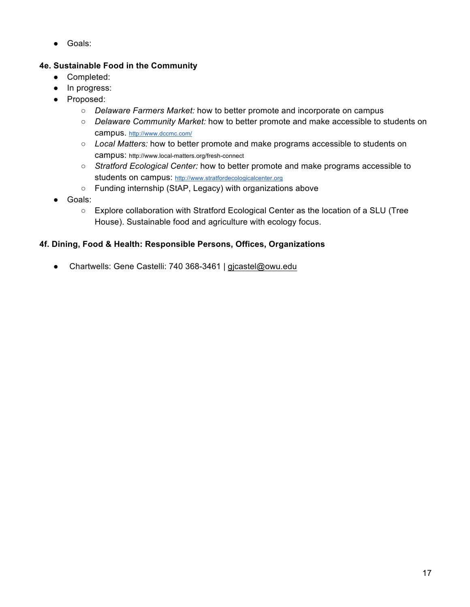● Goals:

## **4e. Sustainable Food in the Community**

- Completed:
- In progress:
- Proposed:
	- *Delaware Farmers Market:* how to better promote and incorporate on campus
	- *Delaware Community Market:* how to better promote and make accessible to students on campus. http://www.dccmc.com/
	- *Local Matters:* how to better promote and make programs accessible to students on campus: http://www.local-matters.org/fresh-connect
	- *Stratford Ecological Center:* how to better promote and make programs accessible to students on campus: http://www.stratfordecologicalcenter.org
	- Funding internship (StAP, Legacy) with organizations above
- Goals:
	- Explore collaboration with Stratford Ecological Center as the location of a SLU (Tree House). Sustainable food and agriculture with ecology focus.

## **4f. Dining, Food & Health: Responsible Persons, Offices, Organizations**

● Chartwells: Gene Castelli: 740 368-3461 | gjcastel@owu.edu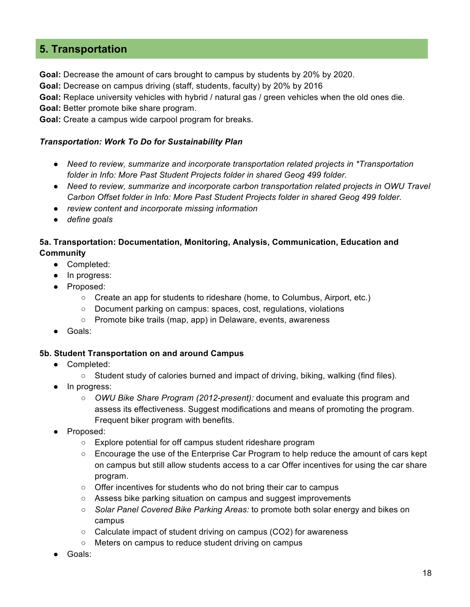## **5. Transportation**

**Goal:** Decrease the amount of cars brought to campus by students by 20% by 2020.

**Goal:** Decrease on campus driving (staff, students, faculty) by 20% by 2016

**Goal:** Replace university vehicles with hybrid / natural gas / green vehicles when the old ones die.

**Goal:** Better promote bike share program.

**Goal:** Create a campus wide carpool program for breaks.

#### *Transportation: Work To Do for Sustainability Plan*

- *Need to review, summarize and incorporate transportation related projects in \*Transportation folder in Info: More Past Student Projects folder in shared Geog 499 folder.*
- *Need to review, summarize and incorporate carbon transportation related projects in OWU Travel Carbon Offset folder in Info: More Past Student Projects folder in shared Geog 499 folder.*
- *review content and incorporate missing information*
- *define goals*

## **5a. Transportation: Documentation, Monitoring, Analysis, Communication, Education and Community**

- Completed:
- In progress:
- Proposed:
	- Create an app for students to rideshare (home, to Columbus, Airport, etc.)
	- Document parking on campus: spaces, cost, regulations, violations
	- Promote bike trails (map, app) in Delaware, events, awareness
- Goals:

#### **5b. Student Transportation on and around Campus**

- Completed:
	- $\circ$  Student study of calories burned and impact of driving, biking, walking (find files).
- In progress:
	- *OWU Bike Share Program (2012-present):* document and evaluate this program and assess its effectiveness. Suggest modifications and means of promoting the program. Frequent biker program with benefits.
- Proposed:
	- Explore potential for off campus student rideshare program
	- Encourage the use of the Enterprise Car Program to help reduce the amount of cars kept on campus but still allow students access to a car Offer incentives for using the car share program.
	- Offer incentives for students who do not bring their car to campus
	- Assess bike parking situation on campus and suggest improvements
	- *Solar Panel Covered Bike Parking Areas:* to promote both solar energy and bikes on campus
	- Calculate impact of student driving on campus (CO2) for awareness
	- Meters on campus to reduce student driving on campus
- Goals: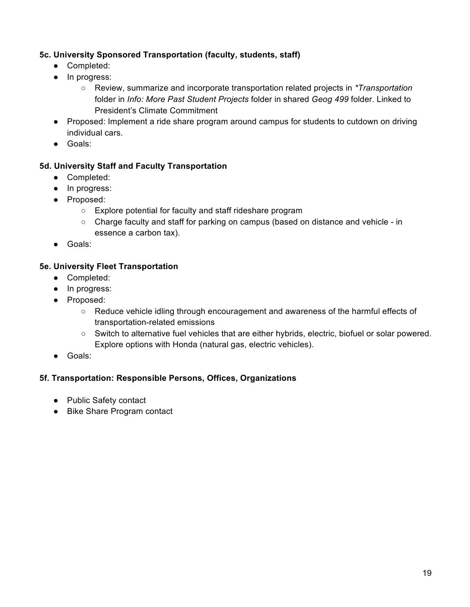## **5c. University Sponsored Transportation (faculty, students, staff)**

- Completed:
- In progress:
	- Review, summarize and incorporate transportation related projects in *\*Transportation* folder in *Info: More Past Student Projects* folder in shared *Geog 499* folder. Linked to President's Climate Commitment
- Proposed: Implement a ride share program around campus for students to cutdown on driving individual cars.
- Goals:

#### **5d. University Staff and Faculty Transportation**

- Completed:
- In progress:
- Proposed:
	- Explore potential for faculty and staff rideshare program
	- Charge faculty and staff for parking on campus (based on distance and vehicle in essence a carbon tax).
- Goals:

#### **5e. University Fleet Transportation**

- Completed:
- In progress:
- Proposed:
	- Reduce vehicle idling through encouragement and awareness of the harmful effects of transportation-related emissions
	- Switch to alternative fuel vehicles that are either hybrids, electric, biofuel or solar powered. Explore options with Honda (natural gas, electric vehicles).
- Goals:

#### **5f. Transportation: Responsible Persons, Offices, Organizations**

- Public Safety contact
- Bike Share Program contact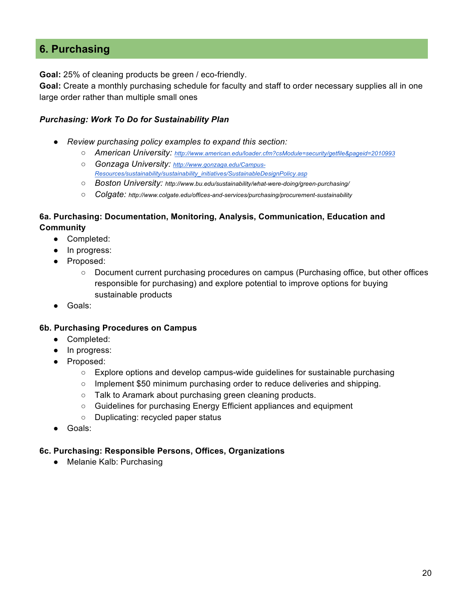## **6. Purchasing**

**Goal:** 25% of cleaning products be green / eco-friendly.

**Goal:** Create a monthly purchasing schedule for faculty and staff to order necessary supplies all in one large order rather than multiple small ones

#### *Purchasing: Work To Do for Sustainability Plan*

- *Review purchasing policy examples to expand this section:*
	- *American University: http://www.american.edu/loader.cfm?csModule=security/getfile&pageid=2010993*
	- *Gonzaga University: http://www.gonzaga.edu/Campus-Resources/sustainability/sustainability\_initiatives/SustainableDesignPolicy.asp*
	- *Boston University: http://www.bu.edu/sustainability/what-were-doing/green-purchasing/*
	- *Colgate: http://www.colgate.edu/offices-and-services/purchasing/procurement-sustainability*

## **6a. Purchasing: Documentation, Monitoring, Analysis, Communication, Education and Community**

- Completed:
- In progress:
- Proposed:
	- Document current purchasing procedures on campus (Purchasing office, but other offices responsible for purchasing) and explore potential to improve options for buying sustainable products
- Goals:

#### **6b. Purchasing Procedures on Campus**

- Completed:
- In progress:
- Proposed:
	- Explore options and develop campus-wide guidelines for sustainable purchasing
	- Implement \$50 minimum purchasing order to reduce deliveries and shipping.
	- Talk to Aramark about purchasing green cleaning products.
	- Guidelines for purchasing Energy Efficient appliances and equipment
	- Duplicating: recycled paper status
- Goals:

#### **6c. Purchasing: Responsible Persons, Offices, Organizations**

● Melanie Kalb: Purchasing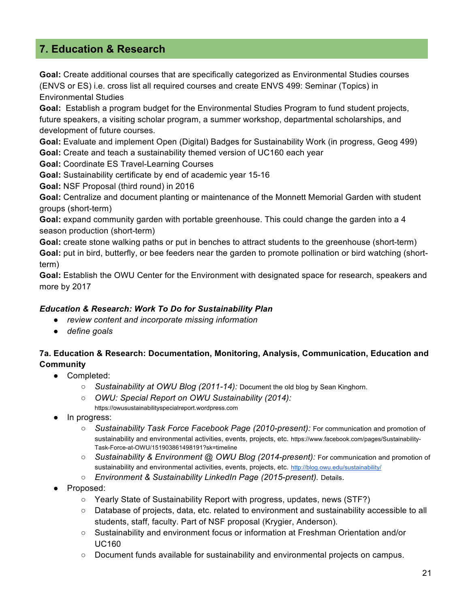## **7. Education & Research**

**Goal:** Create additional courses that are specifically categorized as Environmental Studies courses (ENVS or ES) i.e. cross list all required courses and create ENVS 499: Seminar (Topics) in Environmental Studies

**Goal:** Establish a program budget for the Environmental Studies Program to fund student projects, future speakers, a visiting scholar program, a summer workshop, departmental scholarships, and development of future courses.

**Goal:** Evaluate and implement Open (Digital) Badges for Sustainability Work (in progress, Geog 499) **Goal:** Create and teach a sustainability themed version of UC160 each year

**Goal:** Coordinate ES Travel-Learning Courses

**Goal:** Sustainability certificate by end of academic year 15-16

**Goal:** NSF Proposal (third round) in 2016

**Goal:** Centralize and document planting or maintenance of the Monnett Memorial Garden with student groups (short-term)

**Goal:** expand community garden with portable greenhouse. This could change the garden into a 4 season production (short-term)

**Goal:** create stone walking paths or put in benches to attract students to the greenhouse (short-term) **Goal:** put in bird, butterfly, or bee feeders near the garden to promote pollination or bird watching (shortterm)

**Goal:** Establish the OWU Center for the Environment with designated space for research, speakers and more by 2017

## *Education & Research: Work To Do for Sustainability Plan*

- *review content and incorporate missing information*
- *define goals*

## **7a. Education & Research: Documentation, Monitoring, Analysis, Communication, Education and Community**

- Completed:
	- *Sustainability at OWU Blog (2011-14):* Document the old blog by Sean Kinghorn.
	- *OWU: Special Report on OWU Sustainability (2014):*

https://owusustainabilityspecialreport.wordpress.com

- In progress:
	- *Sustainability Task Force Facebook Page (2010-present):* For communication and promotion of sustainability and environmental activities, events, projects, etc. https://www.facebook.com/pages/Sustainability-Task-Force-at-OWU/151903861498191?sk=timeline
	- *Sustainability & Environment @ OWU Blog (2014-present):* For communication and promotion of sustainability and environmental activities, events, projects, etc. http://blog.owu.edu/sustainability/
	- *Environment & Sustainability LinkedIn Page (2015-present).* Details.
- Proposed:
	- Yearly State of Sustainability Report with progress, updates, news (STF?)
	- Database of projects, data, etc. related to environment and sustainability accessible to all students, staff, faculty. Part of NSF proposal (Krygier, Anderson).
	- Sustainability and environment focus or information at Freshman Orientation and/or UC160
	- Document funds available for sustainability and environmental projects on campus.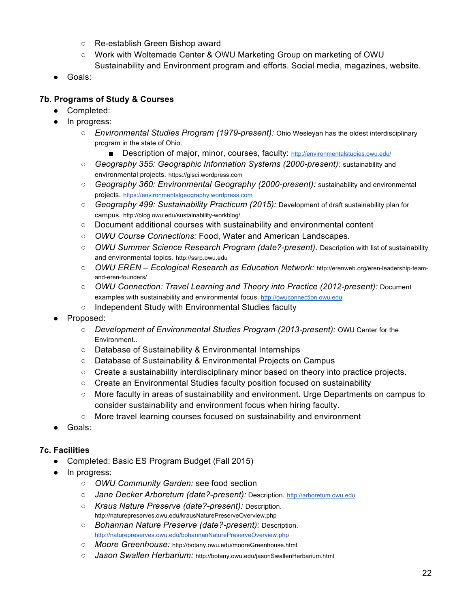- Re-establish Green Bishop award
- Work with Woltemade Center & OWU Marketing Group on marketing of OWU Sustainability and Environment program and efforts. Social media, magazines, website.
- Goals:

## **7b. Programs of Study & Courses**

- Completed:
- In progress:
	- *Environmental Studies Program (1979-present):* Ohio Wesleyan has the oldest interdisciplinary program in the state of Ohio.
		- Description of major, minor, courses, faculty: http://environmentalstudies.owu.edu/
	- *Geography 355: Geographic Information Systems (2000-present):* sustainability and environmental projects. https://gisci.wordpress.com
	- *Geography 360: Environmental Geography (2000-present):* sustainability and environmental projects. https://environmentalgeography.wordpress.com
	- *Geography 499: Sustainability Practicum (2015):* Development of draft sustainability plan for campus. http://blog.owu.edu/sustainability-workblog/
	- Document additional courses with sustainability and environmental content
	- *OWU Course Connections:* Food, Water and American Landscapes.
	- *OWU Summer Science Research Program (date?-present).* Description with list of sustainability and environmental topics. http://ssrp.owu.edu
	- *OWU EREN – Ecological Research as Education Network:* http://erenweb.org/eren-leadership-teamand-eren-founders/
	- *OWU Connection: Travel Learning and Theory into Practice (2012-present):* Document examples with sustainability and environmental focus. http://owuconnection.owu.edu
	- Independent Study with Environmental Studies faculty
- Proposed:
	- *Development of Environmental Studies Program (2013-present):* OWU Center for the Environment..
	- Database of Sustainability & Environmental Internships
	- Database of Sustainability & Environmental Projects on Campus
	- $\circ$  Create a sustainability interdisciplinary minor based on theory into practice projects.
	- Create an Environmental Studies faculty position focused on sustainability
	- More faculty in areas of sustainability and environment. Urge Departments on campus to consider sustainability and environment focus when hiring faculty.
	- More travel learning courses focused on sustainability and environment
- Goals:

## **7c. Facilities**

- Completed: Basic ES Program Budget (Fall 2015)
- In progress:
	- *OWU Community Garden:* see food section
	- *Jane Decker Arboretum (date?-present):* Description. http://arboretum.owu.edu
	- *Kraus Nature Preserve (date?-present):* Description. http://naturepreserves.owu.edu/krausNaturePreserveOverview.php
	- *Bohannan Nature Preserve (date?-present):* Description. http://naturepreserves.owu.edu/bohannanNaturePreserveOverview.php
	- *Moore Greenhouse:* http://botany.owu.edu/mooreGreenhouse.html
	- *Jason Swallen Herbarium:* http://botany.owu.edu/jasonSwallenHerbarium.html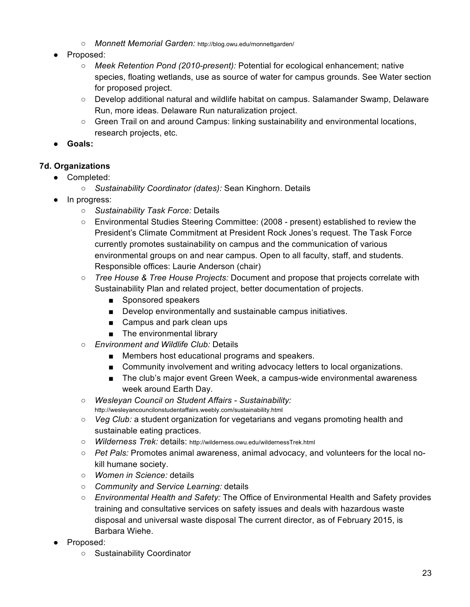- *Monnett Memorial Garden:* http://blog.owu.edu/monnettgarden/
- Proposed:
	- *Meek Retention Pond (2010-present):* Potential for ecological enhancement; native species, floating wetlands, use as source of water for campus grounds. See Water section for proposed project.
	- Develop additional natural and wildlife habitat on campus. Salamander Swamp, Delaware Run, more ideas. Delaware Run naturalization project.
	- Green Trail on and around Campus: linking sustainability and environmental locations, research projects, etc.
- **Goals:**

## **7d. Organizations**

- Completed:
	- *Sustainability Coordinator (dates):* Sean Kinghorn. Details
- In progress:
	- *Sustainability Task Force:* Details
	- Environmental Studies Steering Committee: (2008 present) established to review the President's Climate Commitment at President Rock Jones's request. The Task Force currently promotes sustainability on campus and the communication of various environmental groups on and near campus. Open to all faculty, staff, and students. Responsible offices: Laurie Anderson (chair)
	- *Tree House & Tree House Projects:* Document and propose that projects correlate with Sustainability Plan and related project, better documentation of projects.
		- Sponsored speakers
		- Develop environmentally and sustainable campus initiatives.
		- Campus and park clean ups
		- The environmental library
	- *Environment and Wildlife Club:* Details
		- Members host educational programs and speakers.
		- Community involvement and writing advocacy letters to local organizations.
		- The club's major event Green Week, a campus-wide environmental awareness week around Earth Day.
	- *Wesleyan Council on Student Affairs - Sustainability:*  http://wesleyancouncilonstudentaffairs.weebly.com/sustainability.html
	- *Veg Club:* a student organization for vegetarians and vegans promoting health and sustainable eating practices.
	- *Wilderness Trek:* details: http://wilderness.owu.edu/wildernessTrek.html
	- *Pet Pals:* Promotes animal awareness, animal advocacy, and volunteers for the local nokill humane society.
	- *Women in Science:* details
	- *Community and Service Learning:* details
	- *Environmental Health and Safety:* The Office of Environmental Health and Safety provides training and consultative services on safety issues and deals with hazardous waste disposal and universal waste disposal The current director, as of February 2015, is Barbara Wiehe.
- Proposed:
	- Sustainability Coordinator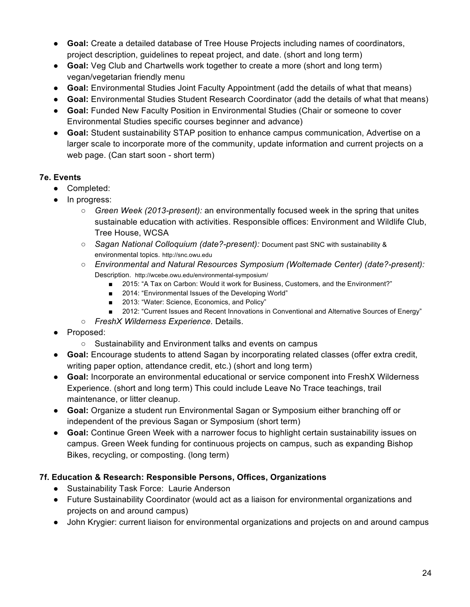- **Goal:** Create a detailed database of Tree House Projects including names of coordinators, project description, guidelines to repeat project, and date. (short and long term)
- **Goal:** Veg Club and Chartwells work together to create a more (short and long term) vegan/vegetarian friendly menu
- **Goal:** Environmental Studies Joint Faculty Appointment (add the details of what that means)
- **Goal:** Environmental Studies Student Research Coordinator (add the details of what that means)
- **Goal:** Funded New Faculty Position in Environmental Studies (Chair or someone to cover Environmental Studies specific courses beginner and advance)
- **Goal:** Student sustainability STAP position to enhance campus communication, Advertise on a larger scale to incorporate more of the community, update information and current projects on a web page. (Can start soon - short term)

## **7e. Events**

- Completed:
- In progress:
	- *Green Week (2013-present):* an environmentally focused week in the spring that unites sustainable education with activities. Responsible offices: Environment and Wildlife Club, Tree House, WCSA
	- *Sagan National Colloquium (date?-present):* Document past SNC with sustainability & environmental topics. http://snc.owu.edu
	- *Environmental and Natural Resources Symposium (Woltemade Center) (date?-present):* Description. http://wcebe.owu.edu/environmental-symposium/
		- 2015: "A Tax on Carbon: Would it work for Business, Customers, and the Environment?"
		- 2014: "Environmental Issues of the Developing World"
		- 2013: "Water: Science, Economics, and Policy"
		- 2012: "Current Issues and Recent Innovations in Conventional and Alternative Sources of Energy"
	- *FreshX Wilderness Experience.* Details.
- Proposed:
	- Sustainability and Environment talks and events on campus
- **Goal:** Encourage students to attend Sagan by incorporating related classes (offer extra credit, writing paper option, attendance credit, etc.) (short and long term)
- **Goal:** Incorporate an environmental educational or service component into FreshX Wilderness Experience. (short and long term) This could include Leave No Trace teachings, trail maintenance, or litter cleanup.
- **Goal:** Organize a student run Environmental Sagan or Symposium either branching off or independent of the previous Sagan or Symposium (short term)
- **Goal:** Continue Green Week with a narrower focus to highlight certain sustainability issues on campus. Green Week funding for continuous projects on campus, such as expanding Bishop Bikes, recycling, or composting. (long term)

## **7f. Education & Research: Responsible Persons, Offices, Organizations**

- Sustainability Task Force: Laurie Anderson
- Future Sustainability Coordinator (would act as a liaison for environmental organizations and projects on and around campus)
- John Krygier: current liaison for environmental organizations and projects on and around campus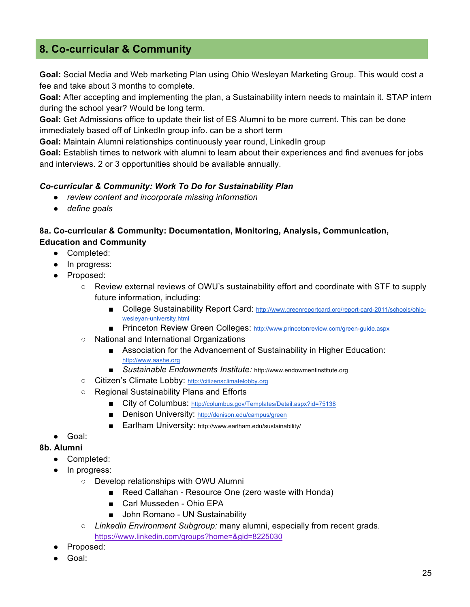## **8. Co-curricular & Community**

**Goal:** Social Media and Web marketing Plan using Ohio Wesleyan Marketing Group. This would cost a fee and take about 3 months to complete.

**Goal:** After accepting and implementing the plan, a Sustainability intern needs to maintain it. STAP intern during the school year? Would be long term.

**Goal:** Get Admissions office to update their list of ES Alumni to be more current. This can be done immediately based off of LinkedIn group info. can be a short term

**Goal:** Maintain Alumni relationships continuously year round, LinkedIn group

**Goal:** Establish times to network with alumni to learn about their experiences and find avenues for jobs and interviews. 2 or 3 opportunities should be available annually.

#### *Co-curricular & Community: Work To Do for Sustainability Plan*

- *review content and incorporate missing information*
- *define goals*

## **8a. Co-curricular & Community: Documentation, Monitoring, Analysis, Communication, Education and Community**

- Completed:
- In progress:
- Proposed:
	- Review external reviews of OWU's sustainability effort and coordinate with STF to supply future information, including:
		- College Sustainability Report Card: http://www.greenreportcard.org/report-card-2011/schools/ohiowesleyan-university.html
		- Princeton Review Green Colleges: http://www.princetonreview.com/green-guide.aspx
	- National and International Organizations
		- Association for the Advancement of Sustainability in Higher Education: http://www.aashe.org
		- *Sustainable Endowments Institute:* http://www.endowmentinstitute.org
	- Citizen's Climate Lobby: http://citizensclimatelobby.org
	- Regional Sustainability Plans and Efforts
		- City of Columbus: http://columbus.gov/Templates/Detail.aspx?id=75138
		- Denison University: http://denison.edu/campus/green
		- Earlham University: http://www.earlham.edu/sustainability/
- Goal:
- **8b. Alumni**
	- Completed:
	- In progress:
		- Develop relationships with OWU Alumni
			- Reed Callahan Resource One (zero waste with Honda)
			- Carl Musseden Ohio EPA
			- John Romano UN Sustainability
		- *Linkedin Environment Subgroup:* many alumni, especially from recent grads. https://www.linkedin.com/groups?home=&gid=8225030
	- Proposed:
	- Goal: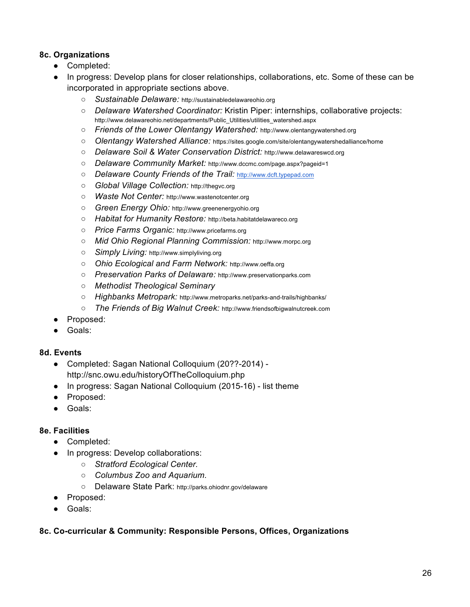## **8c. Organizations**

- Completed:
- In progress: Develop plans for closer relationships, collaborations, etc. Some of these can be incorporated in appropriate sections above.
	- *Sustainable Delaware:* http://sustainabledelawareohio.org
	- *Delaware Watershed Coordinator:* Kristin Piper: internships, collaborative projects: http://www.delawareohio.net/departments/Public\_Utilities/utilities\_watershed.aspx
	- *Friends of the Lower Olentangy Watershed:* http://www.olentangywatershed.org
	- *Olentangy Watershed Alliance:* https://sites.google.com/site/olentangywatershedalliance/home
	- *Delaware Soil & Water Conservation District:* http://www.delawareswcd.org
	- *Delaware Community Market:* http://www.dccmc.com/page.aspx?pageid=1
	- *Delaware County Friends of the Trail:* http://www.dcft.typepad.com
	- *Global Village Collection:* http://thegvc.org
	- *Waste Not Center:* http://www.wastenotcenter.org
	- *Green Energy Ohio:* http://www.greenenergyohio.org
	- *Habitat for Humanity Restore:* http://beta.habitatdelawareco.org
	- *Price Farms Organic:* http://www.pricefarms.org
	- *Mid Ohio Regional Planning Commission:* http://www.morpc.org
	- *Simply Living:* http://www.simplyliving.org
	- *Ohio Ecological and Farm Network:* http://www.oeffa.org
	- *Preservation Parks of Delaware:* http://www.preservationparks.com
	- *Methodist Theological Seminary*
	- *Highbanks Metropark:* http://www.metroparks.net/parks-and-trails/highbanks/
	- *The Friends of Big Walnut Creek:* http://www.friendsofbigwalnutcreek.com
- Proposed:
- Goals:

## **8d. Events**

- Completed: Sagan National Colloquium (20??-2014)
	- http://snc.owu.edu/historyOfTheColloquium.php
- In progress: Sagan National Colloquium (2015-16) list theme
- Proposed:
- Goals:

## **8e. Facilities**

- Completed:
	- In progress: Develop collaborations:
		- *Stratford Ecological Center.*
		- *Columbus Zoo and Aquarium.*
		- Delaware State Park: http://parks.ohiodnr.gov/delaware
- Proposed:
- Goals:

## **8c. Co-curricular & Community: Responsible Persons, Offices, Organizations**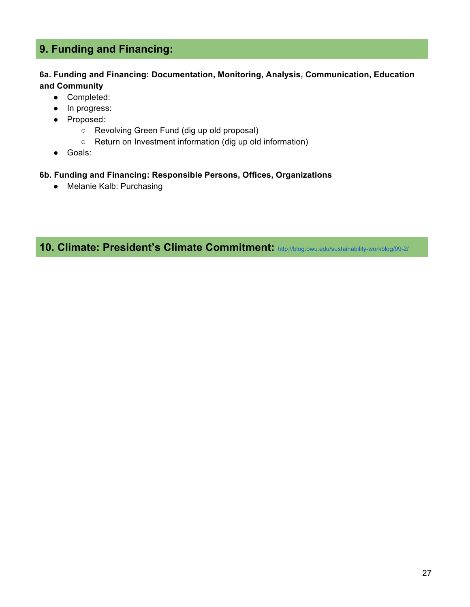# **9. Funding and Financing:**

#### **6a. Funding and Financing: Documentation, Monitoring, Analysis, Communication, Education and Community**

- Completed:
- In progress:
- Proposed:
	- Revolving Green Fund (dig up old proposal)
	- Return on Investment information (dig up old information)
- Goals:

#### **6b. Funding and Financing: Responsible Persons, Offices, Organizations**

● Melanie Kalb: Purchasing

**10. Climate: President's Climate Commitment:** http://blog.owu.edu/sustainability-workblog/99-2/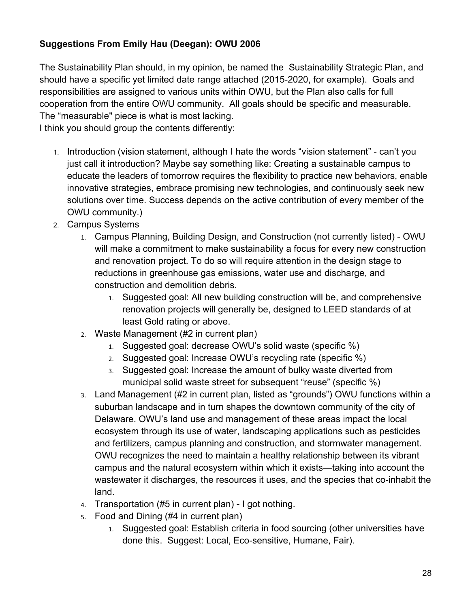## **Suggestions From Emily Hau (Deegan): OWU 2006**

The Sustainability Plan should, in my opinion, be named the Sustainability Strategic Plan, and should have a specific yet limited date range attached (2015-2020, for example). Goals and responsibilities are assigned to various units within OWU, but the Plan also calls for full cooperation from the entire OWU community. All goals should be specific and measurable. The "measurable" piece is what is most lacking.

I think you should group the contents differently:

- 1. Introduction (vision statement, although I hate the words "vision statement" can't you just call it introduction? Maybe say something like: Creating a sustainable campus to educate the leaders of tomorrow requires the flexibility to practice new behaviors, enable innovative strategies, embrace promising new technologies, and continuously seek new solutions over time. Success depends on the active contribution of every member of the OWU community.)
- 2. Campus Systems
	- 1. Campus Planning, Building Design, and Construction (not currently listed) OWU will make a commitment to make sustainability a focus for every new construction and renovation project. To do so will require attention in the design stage to reductions in greenhouse gas emissions, water use and discharge, and construction and demolition debris.
		- 1. Suggested goal: All new building construction will be, and comprehensive renovation projects will generally be, designed to LEED standards of at least Gold rating or above.
	- 2. Waste Management (#2 in current plan)
		- 1. Suggested goal: decrease OWU's solid waste (specific %)
		- 2. Suggested goal: Increase OWU's recycling rate (specific %)
		- 3. Suggested goal: Increase the amount of bulky waste diverted from municipal solid waste street for subsequent "reuse" (specific %)
	- 3. Land Management (#2 in current plan, listed as "grounds") OWU functions within a suburban landscape and in turn shapes the downtown community of the city of Delaware. OWU's land use and management of these areas impact the local ecosystem through its use of water, landscaping applications such as pesticides and fertilizers, campus planning and construction, and stormwater management. OWU recognizes the need to maintain a healthy relationship between its vibrant campus and the natural ecosystem within which it exists—taking into account the wastewater it discharges, the resources it uses, and the species that co-inhabit the land.
	- 4. Transportation (#5 in current plan) I got nothing.
	- 5. Food and Dining (#4 in current plan)
		- 1. Suggested goal: Establish criteria in food sourcing (other universities have done this. Suggest: Local, Eco-sensitive, Humane, Fair).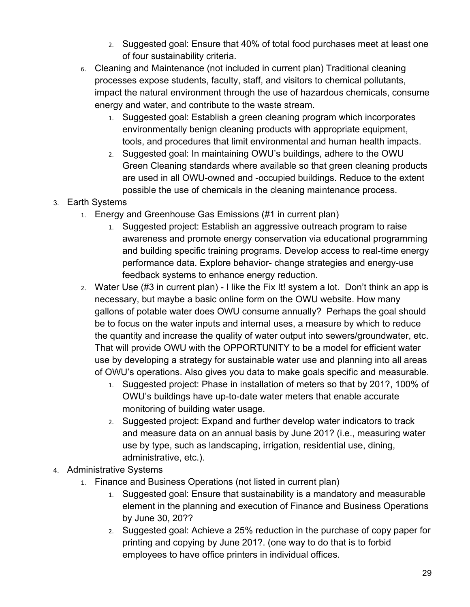- 2. Suggested goal: Ensure that 40% of total food purchases meet at least one of four sustainability criteria.
- 6. Cleaning and Maintenance (not included in current plan) Traditional cleaning processes expose students, faculty, staff, and visitors to chemical pollutants, impact the natural environment through the use of hazardous chemicals, consume energy and water, and contribute to the waste stream.
	- 1. Suggested goal: Establish a green cleaning program which incorporates environmentally benign cleaning products with appropriate equipment, tools, and procedures that limit environmental and human health impacts.
	- 2. Suggested goal: In maintaining OWU's buildings, adhere to the OWU Green Cleaning standards where available so that green cleaning products are used in all OWU-owned and -occupied buildings. Reduce to the extent possible the use of chemicals in the cleaning maintenance process.
- 3. Earth Systems
	- 1. Energy and Greenhouse Gas Emissions (#1 in current plan)
		- 1. Suggested project: Establish an aggressive outreach program to raise awareness and promote energy conservation via educational programming and building specific training programs. Develop access to real-time energy performance data. Explore behavior- change strategies and energy-use feedback systems to enhance energy reduction.
	- 2. Water Use (#3 in current plan) I like the Fix It! system a lot. Don't think an app is necessary, but maybe a basic online form on the OWU website. How many gallons of potable water does OWU consume annually? Perhaps the goal should be to focus on the water inputs and internal uses, a measure by which to reduce the quantity and increase the quality of water output into sewers/groundwater, etc. That will provide OWU with the OPPORTUNITY to be a model for efficient water use by developing a strategy for sustainable water use and planning into all areas of OWU's operations. Also gives you data to make goals specific and measurable.
		- 1. Suggested project: Phase in installation of meters so that by 201?, 100% of OWU's buildings have up-to-date water meters that enable accurate monitoring of building water usage.
		- 2. Suggested project: Expand and further develop water indicators to track and measure data on an annual basis by June 201? (i.e., measuring water use by type, such as landscaping, irrigation, residential use, dining, administrative, etc.).
- 4. Administrative Systems
	- 1. Finance and Business Operations (not listed in current plan)
		- 1. Suggested goal: Ensure that sustainability is a mandatory and measurable element in the planning and execution of Finance and Business Operations by June 30, 20??
		- 2. Suggested goal: Achieve a 25% reduction in the purchase of copy paper for printing and copying by June 201?. (one way to do that is to forbid employees to have office printers in individual offices.